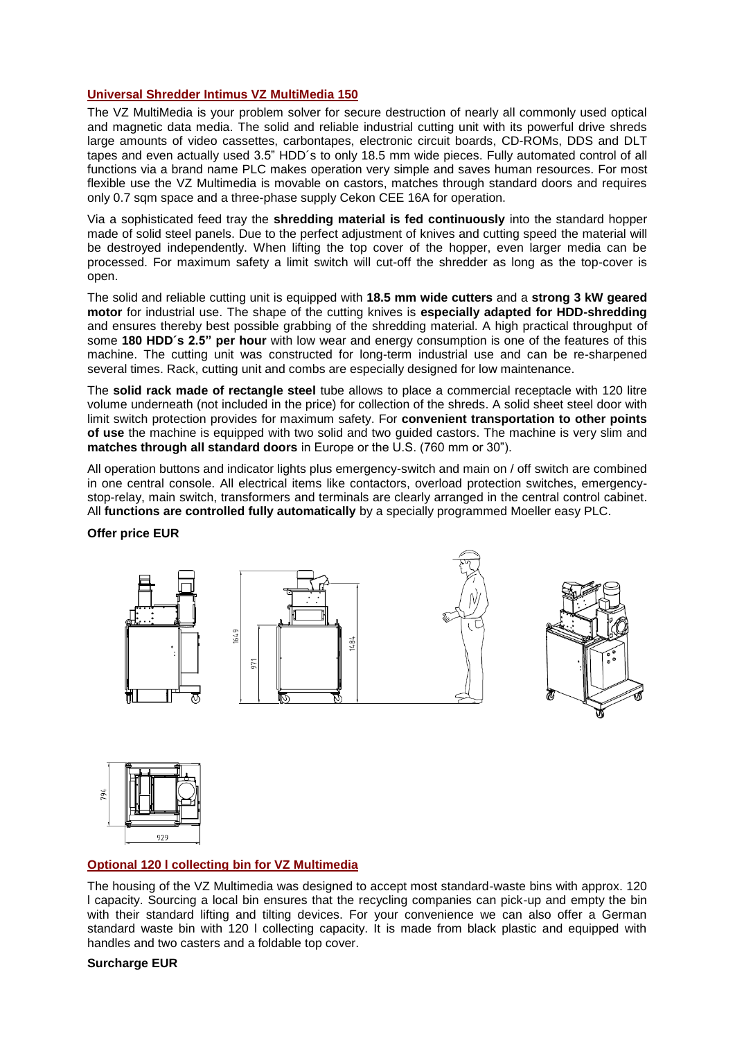## **Universal Shredder Intimus VZ MultiMedia 150**

The VZ MultiMedia is your problem solver for secure destruction of nearly all commonly used optical and magnetic data media. The solid and reliable industrial cutting unit with its powerful drive shreds large amounts of video cassettes, carbontapes, electronic circuit boards, CD-ROMs, DDS and DLT tapes and even actually used 3.5" HDD´s to only 18.5 mm wide pieces. Fully automated control of all functions via a brand name PLC makes operation very simple and saves human resources. For most flexible use the VZ Multimedia is movable on castors, matches through standard doors and requires only 0.7 sqm space and a three-phase supply Cekon CEE 16A for operation.

Via a sophisticated feed tray the **shredding material is fed continuously** into the standard hopper made of solid steel panels. Due to the perfect adjustment of knives and cutting speed the material will be destroyed independently. When lifting the top cover of the hopper, even larger media can be processed. For maximum safety a limit switch will cut-off the shredder as long as the top-cover is open.

The solid and reliable cutting unit is equipped with **18.5 mm wide cutters** and a **strong 3 kW geared motor** for industrial use. The shape of the cutting knives is **especially adapted for HDD-shredding** and ensures thereby best possible grabbing of the shredding material. A high practical throughput of some **180 HDD´s 2.5" per hour** with low wear and energy consumption is one of the features of this machine. The cutting unit was constructed for long-term industrial use and can be re-sharpened several times. Rack, cutting unit and combs are especially designed for low maintenance.

The **solid rack made of rectangle steel** tube allows to place a commercial receptacle with 120 litre volume underneath (not included in the price) for collection of the shreds. A solid sheet steel door with limit switch protection provides for maximum safety. For **convenient transportation to other points of use** the machine is equipped with two solid and two guided castors. The machine is very slim and **matches through all standard doors** in Europe or the U.S. (760 mm or 30").

All operation buttons and indicator lights plus emergency-switch and main on / off switch are combined in one central console. All electrical items like contactors, overload protection switches, emergencystop-relay, main switch, transformers and terminals are clearly arranged in the central control cabinet. All **functions are controlled fully automatically** by a specially programmed Moeller easy PLC.

### **Offer price EUR**





# **Optional 120 l collecting bin for VZ Multimedia**

The housing of the VZ Multimedia was designed to accept most standard-waste bins with approx. 120 l capacity. Sourcing a local bin ensures that the recycling companies can pick-up and empty the bin with their standard lifting and tilting devices. For your convenience we can also offer a German standard waste bin with 120 l collecting capacity. It is made from black plastic and equipped with handles and two casters and a foldable top cover.

### **Surcharge EUR**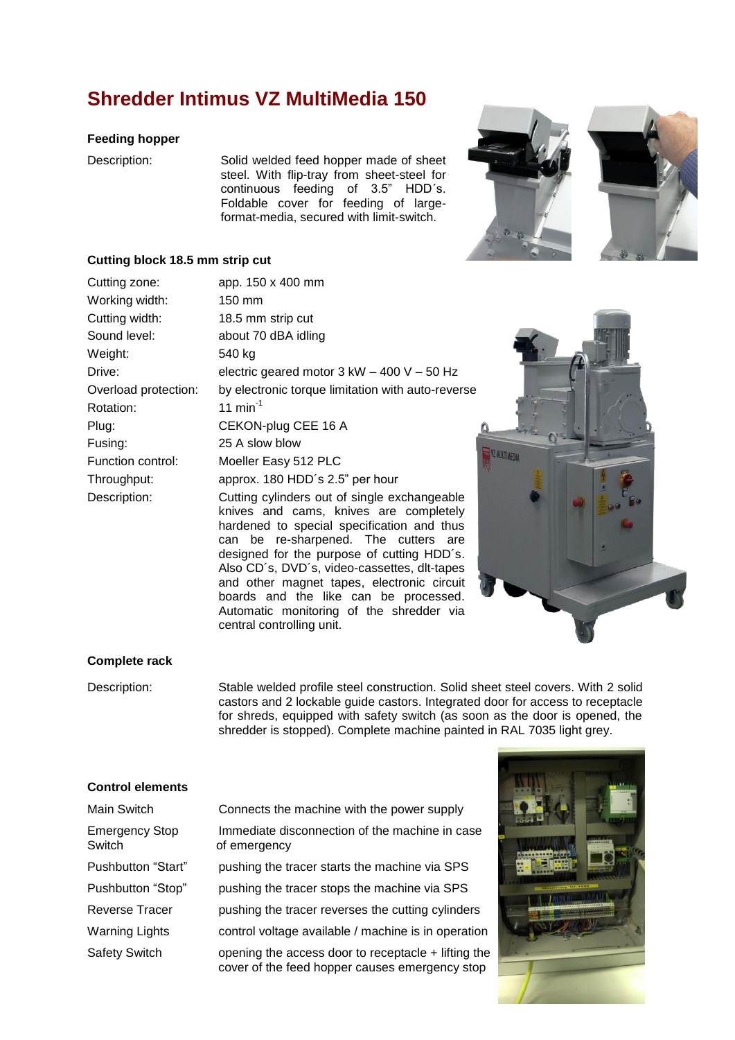# **Shredder Intimus VZ MultiMedia 150**

#### **Feeding hopper**

Description: Solid welded feed hopper made of sheet steel. With flip-tray from sheet-steel for continuous feeding of 3.5" HDD´s. Foldable cover for feeding of largeformat-media, secured with limit-switch.





#### **Cutting block 18.5 mm strip cut**

| Cutting zone:        | app. 150 x 400 mm                                                                                                                                                                                                                                                          |  |  |
|----------------------|----------------------------------------------------------------------------------------------------------------------------------------------------------------------------------------------------------------------------------------------------------------------------|--|--|
| Working width:       | 150 mm                                                                                                                                                                                                                                                                     |  |  |
| Cutting width:       | 18.5 mm strip cut                                                                                                                                                                                                                                                          |  |  |
| Sound level:         | about 70 dBA idling                                                                                                                                                                                                                                                        |  |  |
| Weight:              | 540 kg                                                                                                                                                                                                                                                                     |  |  |
| Drive:               | electric geared motor $3$ kW $-$ 400 V $-$ 50 Hz                                                                                                                                                                                                                           |  |  |
| Overload protection: | by electronic torque limitation with auto-reverse                                                                                                                                                                                                                          |  |  |
| Rotation:            | 11 $min^{-1}$                                                                                                                                                                                                                                                              |  |  |
| Plug:                | CEKON-plug CEE 16 A                                                                                                                                                                                                                                                        |  |  |
| Fusing:              | 25 A slow blow                                                                                                                                                                                                                                                             |  |  |
| Function control:    | Moeller Easy 512 PLC                                                                                                                                                                                                                                                       |  |  |
| Throughput:          | approx. 180 HDD's 2.5" per hour                                                                                                                                                                                                                                            |  |  |
| Description:         | Cutting cylinders out of single exchangeable<br>knives and cams, knives are completely<br>hardened to special specification and thus<br>can be re-sharpened. The cutters are<br>designed for the purpose of cutting HDD's.<br>Also CD's, DVD's, video-cassettes, dlt-tapes |  |  |

central controlling unit.

and other magnet tapes, electronic circuit boards and the like can be processed. Automatic monitoring of the shredder via



## **Complete rack**

Description: Stable welded profile steel construction. Solid sheet steel covers. With 2 solid castors and 2 lockable guide castors. Integrated door for access to receptacle for shreds, equipped with safety switch (as soon as the door is opened, the shredder is stopped). Complete machine painted in RAL 7035 light grey.

#### **Control elements**

| Main Switch                     | Connects the machine with the power supply                                                            |
|---------------------------------|-------------------------------------------------------------------------------------------------------|
| <b>Emergency Stop</b><br>Switch | Immediate disconnection of the machine in case<br>of emergency                                        |
| Pushbutton "Start"              | pushing the tracer starts the machine via SPS                                                         |
| Pushbutton "Stop"               | pushing the tracer stops the machine via SPS                                                          |
| <b>Reverse Tracer</b>           | pushing the tracer reverses the cutting cylinders                                                     |
| <b>Warning Lights</b>           | control voltage available / machine is in operation                                                   |
| <b>Safety Switch</b>            | opening the access door to receptacle + lifting the<br>cover of the feed hopper causes emergency stop |